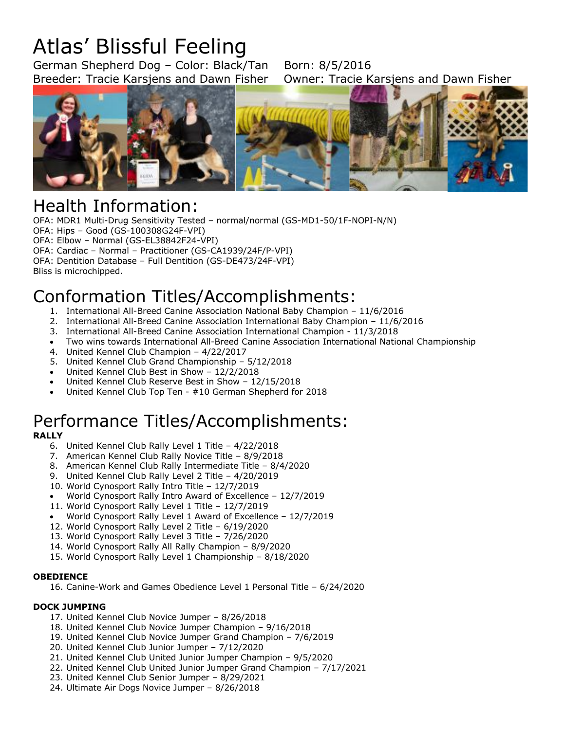# Atlas' Blissful Feeling

German Shepherd Dog - Color: Black/Tan Born: 8/5/2016 Breeder: Tracie Karsjens and Dawn Fisher Owner: Tracie Karsjens and Dawn Fisher



## Health Information:

OFA: MDR1 Multi-Drug Sensitivity Tested – normal/normal (GS-MD1-50/1F-NOPI-N/N) OFA: Hips – Good (GS-100308G24F-VPI) OFA: Elbow – Normal (GS-EL38842F24-VPI) OFA: Cardiac – Normal – Practitioner (GS-CA1939/24F/P-VPI) OFA: Dentition Database – Full Dentition (GS-DE473/24F-VPI) Bliss is microchipped.

## Conformation Titles/Accomplishments:

- 1. International All-Breed Canine Association National Baby Champion 11/6/2016
- 2. International All-Breed Canine Association International Baby Champion 11/6/2016
- 3. International All-Breed Canine Association International Champion 11/3/2018
- Two wins towards International All-Breed Canine Association International National Championship
- 4. United Kennel Club Champion 4/22/2017
- 5. United Kennel Club Grand Championship 5/12/2018
- United Kennel Club Best in Show 12/2/2018
- United Kennel Club Reserve Best in Show 12/15/2018
- United Kennel Club Top Ten #10 German Shepherd for 2018

## Performance Titles/Accomplishments:

#### **RALLY**

- 6. United Kennel Club Rally Level 1 Title 4/22/2018
- 7. American Kennel Club Rally Novice Title 8/9/2018
- 8. American Kennel Club Rally Intermediate Title 8/4/2020
- 9. United Kennel Club Rally Level 2 Title 4/20/2019
- 10. World Cynosport Rally Intro Title 12/7/2019
- World Cynosport Rally Intro Award of Excellence 12/7/2019
- 11. World Cynosport Rally Level 1 Title 12/7/2019
- World Cynosport Rally Level 1 Award of Excellence 12/7/2019
- 12. World Cynosport Rally Level 2 Title 6/19/2020
- 13. World Cynosport Rally Level 3 Title 7/26/2020
- 14. World Cynosport Rally All Rally Champion 8/9/2020
- 15. World Cynosport Rally Level 1 Championship 8/18/2020

#### **OBEDIENCE**

16. Canine-Work and Games Obedience Level 1 Personal Title – 6/24/2020

#### **DOCK JUMPING**

- 17. United Kennel Club Novice Jumper 8/26/2018
- 18. United Kennel Club Novice Jumper Champion 9/16/2018
- 19. United Kennel Club Novice Jumper Grand Champion 7/6/2019
- 20. United Kennel Club Junior Jumper 7/12/2020
- 21. United Kennel Club United Junior Jumper Champion 9/5/2020
- 22. United Kennel Club United Junior Jumper Grand Champion 7/17/2021
- 23. United Kennel Club Senior Jumper 8/29/2021
- 24. Ultimate Air Dogs Novice Jumper 8/26/2018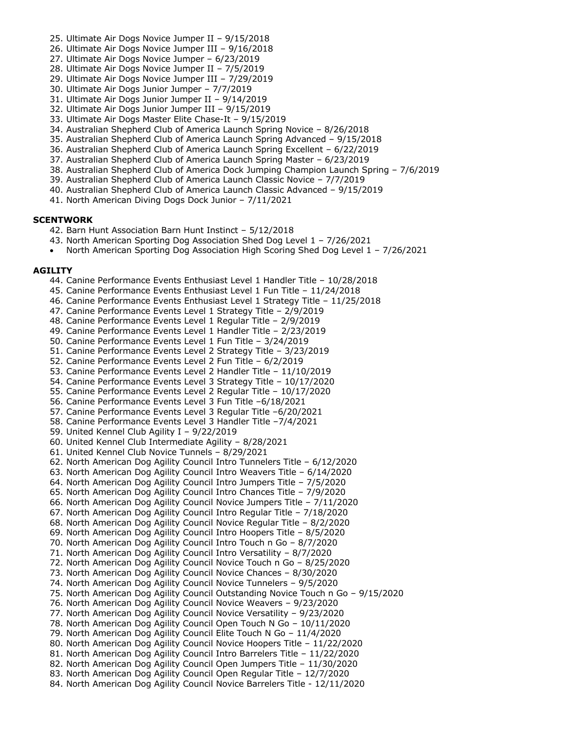- 25. Ultimate Air Dogs Novice Jumper II 9/15/2018
- 26. Ultimate Air Dogs Novice Jumper III 9/16/2018
- 27. Ultimate Air Dogs Novice Jumper 6/23/2019
- 28. Ultimate Air Dogs Novice Jumper II 7/5/2019
- 29. Ultimate Air Dogs Novice Jumper III 7/29/2019
- 30. Ultimate Air Dogs Junior Jumper 7/7/2019
- 31. Ultimate Air Dogs Junior Jumper II 9/14/2019
- 32. Ultimate Air Dogs Junior Jumper III 9/15/2019
- 33. Ultimate Air Dogs Master Elite Chase-It 9/15/2019
- 34. Australian Shepherd Club of America Launch Spring Novice 8/26/2018
- 35. Australian Shepherd Club of America Launch Spring Advanced 9/15/2018
- 36. Australian Shepherd Club of America Launch Spring Excellent 6/22/2019
- 37. Australian Shepherd Club of America Launch Spring Master 6/23/2019
- 38. Australian Shepherd Club of America Dock Jumping Champion Launch Spring 7/6/2019
- 39. Australian Shepherd Club of America Launch Classic Novice 7/7/2019
- 40. Australian Shepherd Club of America Launch Classic Advanced 9/15/2019
- 41. North American Diving Dogs Dock Junior 7/11/2021

#### **SCENTWORK**

- 42. Barn Hunt Association Barn Hunt Instinct 5/12/2018
- 43. North American Sporting Dog Association Shed Dog Level 1 7/26/2021
- North American Sporting Dog Association High Scoring Shed Dog Level 1 7/26/2021

#### **AGILITY**

- 44. Canine Performance Events Enthusiast Level 1 Handler Title 10/28/2018
- 45. Canine Performance Events Enthusiast Level 1 Fun Title 11/24/2018
- 46. Canine Performance Events Enthusiast Level 1 Strategy Title 11/25/2018
- 47. Canine Performance Events Level 1 Strategy Title 2/9/2019
- 48. Canine Performance Events Level 1 Regular Title 2/9/2019
- 49. Canine Performance Events Level 1 Handler Title 2/23/2019
- 50. Canine Performance Events Level 1 Fun Title 3/24/2019
- 51. Canine Performance Events Level 2 Strategy Title 3/23/2019
- 52. Canine Performance Events Level 2 Fun Title 6/2/2019
- 53. Canine Performance Events Level 2 Handler Title 11/10/2019
- 54. Canine Performance Events Level 3 Strategy Title 10/17/2020
- 55. Canine Performance Events Level 2 Regular Title 10/17/2020
- 56. Canine Performance Events Level 3 Fun Title –6/18/2021
- 57. Canine Performance Events Level 3 Regular Title –6/20/2021
- 58. Canine Performance Events Level 3 Handler Title –7/4/2021
- 59. United Kennel Club Agility I 9/22/2019
- 60. United Kennel Club Intermediate Agility 8/28/2021
- 61. United Kennel Club Novice Tunnels 8/29/2021
- 62. North American Dog Agility Council Intro Tunnelers Title 6/12/2020
- 63. North American Dog Agility Council Intro Weavers Title 6/14/2020
- 64. North American Dog Agility Council Intro Jumpers Title 7/5/2020 65. North American Dog Agility Council Intro Chances Title – 7/9/2020 66. North American Dog Agility Council Novice Jumpers Title – 7/11/2020 67. North American Dog Agility Council Intro Regular Title – 7/18/2020
- 68. North American Dog Agility Council Novice Regular Title 8/2/2020
- 69. North American Dog Agility Council Intro Hoopers Title 8/5/2020
- 70. North American Dog Agility Council Intro Touch n Go 8/7/2020
- 71. North American Dog Agility Council Intro Versatility 8/7/2020 72. North American Dog Agility Council Novice Touch n Go – 8/25/2020
- 73. North American Dog Agility Council Novice Chances 8/30/2020
- 74. North American Dog Agility Council Novice Tunnelers 9/5/2020
- 75. North American Dog Agility Council Outstanding Novice Touch n Go 9/15/2020
- 76. North American Dog Agility Council Novice Weavers 9/23/2020
- 77. North American Dog Agility Council Novice Versatility 9/23/2020
- 78. North American Dog Agility Council Open Touch N Go 10/11/2020
- 79. North American Dog Agility Council Elite Touch N Go 11/4/2020
- 80. North American Dog Agility Council Novice Hoopers Title 11/22/2020
- 81. North American Dog Agility Council Intro Barrelers Title 11/22/2020
- 82. North American Dog Agility Council Open Jumpers Title 11/30/2020
- 83. North American Dog Agility Council Open Regular Title 12/7/2020 84. North American Dog Agility Council Novice Barrelers Title - 12/11/2020